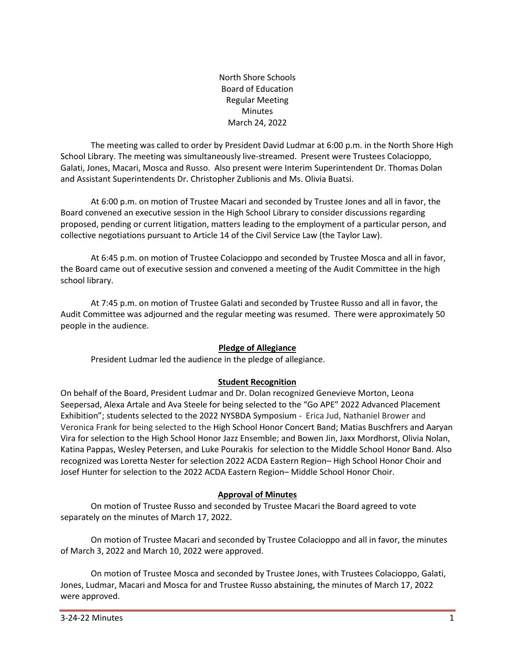North Shore Schools Board of Education Regular Meeting Minutes March 24, 2022

The meeting was called to order by President David Ludmar at 6:00 p.m. in the North Shore High School Library. The meeting was simultaneously live-streamed. Present were Trustees Colacioppo, Galati, Jones, Macari, Mosca and Russo. Also present were Interim Superintendent Dr. Thomas Dolan and Assistant Superintendents Dr. Christopher Zublionis and Ms. Olivia Buatsi.

At 6:00 p.m. on motion of Trustee Macari and seconded by Trustee Jones and all in favor, the Board convened an executive session in the High School Library to consider discussions regarding proposed, pending or current litigation, matters leading to the employment of a particular person, and collective negotiations pursuant to Article 14 of the Civil Service Law (the Taylor Law).

At 6:45 p.m. on motion of Trustee Colacioppo and seconded by Trustee Mosca and all in favor, the Board came out of executive session and convened a meeting of the Audit Committee in the high school library.

At 7:45 p.m. on motion of Trustee Galati and seconded by Trustee Russo and all in favor, the Audit Committee was adjourned and the regular meeting was resumed. There were approximately 50 people in the audience.

#### **Pledge of Allegiance**

President Ludmar led the audience in the pledge of allegiance.

# **Student Recognition**

On behalf of the Board, President Ludmar and Dr. Dolan recognized Genevieve Morton, Leona Seepersad, Alexa Artale and Ava Steele for being selected to the "Go APE" 2022 Advanced Placement Exhibition"; students selected to the 2022 NYSBDA Symposium - Erica Jud, Nathaniel Brower and Veronica Frank for being selected to the High School Honor Concert Band; Matias Buschfrers and Aaryan Vira for selection to the High School Honor Jazz Ensemble; and Bowen Jin, Jaxx Mordhorst, Olivia Nolan, Katina Pappas, Wesley Petersen, and Luke Pourakis for selection to the Middle School Honor Band. Also recognized was Loretta Nester for selection 2022 ACDA Eastern Region– High School Honor Choir and Josef Hunter for selection to the 2022 ACDA Eastern Region– Middle School Honor Choir.

#### **Approval of Minutes**

On motion of Trustee Russo and seconded by Trustee Macari the Board agreed to vote separately on the minutes of March 17, 2022.

On motion of Trustee Macari and seconded by Trustee Colacioppo and all in favor, the minutes of March 3, 2022 and March 10, 2022 were approved.

On motion of Trustee Mosca and seconded by Trustee Jones, with Trustees Colacioppo, Galati, Jones, Ludmar, Macari and Mosca for and Trustee Russo abstaining, the minutes of March 17, 2022 were approved.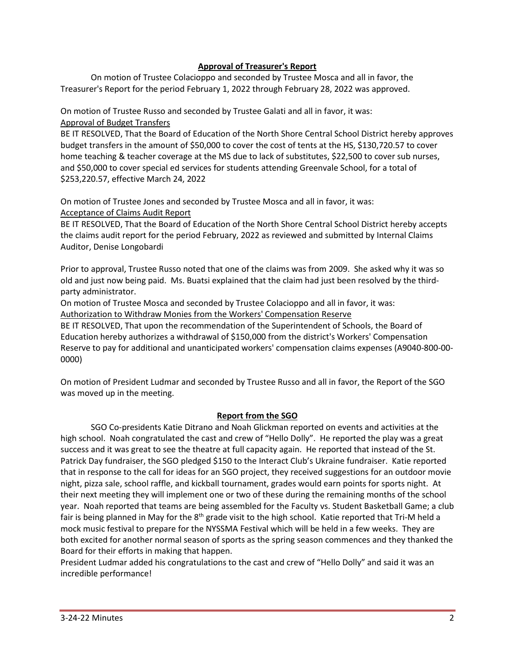### **Approval of Treasurer's Report**

On motion of Trustee Colacioppo and seconded by Trustee Mosca and all in favor, the Treasurer's Report for the period February 1, 2022 through February 28, 2022 was approved.

# On motion of Trustee Russo and seconded by Trustee Galati and all in favor, it was: Approval of Budget Transfers

BE IT RESOLVED, That the Board of Education of the North Shore Central School District hereby approves budget transfers in the amount of \$50,000 to cover the cost of tents at the HS, \$130,720.57 to cover home teaching & teacher coverage at the MS due to lack of substitutes, \$22,500 to cover sub nurses, and \$50,000 to cover special ed services for students attending Greenvale School, for a total of \$253,220.57, effective March 24, 2022

On motion of Trustee Jones and seconded by Trustee Mosca and all in favor, it was: Acceptance of Claims Audit Report

BE IT RESOLVED, That the Board of Education of the North Shore Central School District hereby accepts the claims audit report for the period February, 2022 as reviewed and submitted by Internal Claims Auditor, Denise Longobardi

Prior to approval, Trustee Russo noted that one of the claims was from 2009. She asked why it was so old and just now being paid. Ms. Buatsi explained that the claim had just been resolved by the thirdparty administrator.

On motion of Trustee Mosca and seconded by Trustee Colacioppo and all in favor, it was: Authorization to Withdraw Monies from the Workers' Compensation Reserve

BE IT RESOLVED, That upon the recommendation of the Superintendent of Schools, the Board of Education hereby authorizes a withdrawal of \$150,000 from the district's Workers' Compensation Reserve to pay for additional and unanticipated workers' compensation claims expenses (A9040-800-00- 0000)

On motion of President Ludmar and seconded by Trustee Russo and all in favor, the Report of the SGO was moved up in the meeting.

# **Report from the SGO**

SGO Co-presidents Katie Ditrano and Noah Glickman reported on events and activities at the high school. Noah congratulated the cast and crew of "Hello Dolly". He reported the play was a great success and it was great to see the theatre at full capacity again. He reported that instead of the St. Patrick Day fundraiser, the SGO pledged \$150 to the Interact Club's Ukraine fundraiser. Katie reported that in response to the call for ideas for an SGO project, they received suggestions for an outdoor movie night, pizza sale, school raffle, and kickball tournament, grades would earn points for sports night. At their next meeting they will implement one or two of these during the remaining months of the school year. Noah reported that teams are being assembled for the Faculty vs. Student Basketball Game; a club fair is being planned in May for the 8<sup>th</sup> grade visit to the high school. Katie reported that Tri-M held a mock music festival to prepare for the NYSSMA Festival which will be held in a few weeks. They are both excited for another normal season of sports as the spring season commences and they thanked the Board for their efforts in making that happen.

President Ludmar added his congratulations to the cast and crew of "Hello Dolly" and said it was an incredible performance!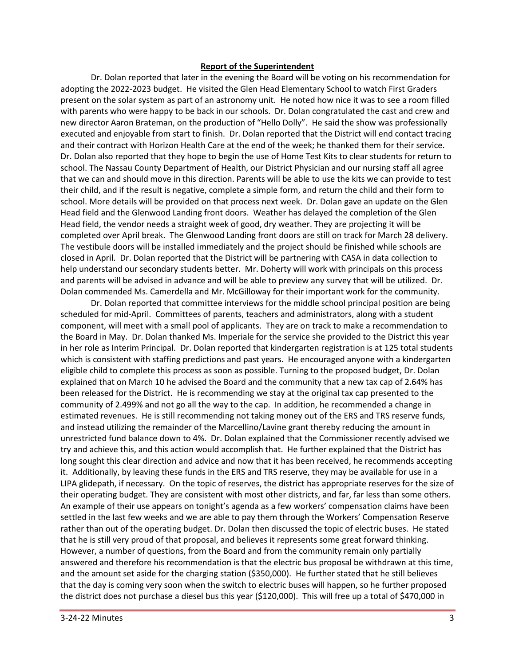#### **Report of the Superintendent**

Dr. Dolan reported that later in the evening the Board will be voting on his recommendation for adopting the 2022-2023 budget. He visited the Glen Head Elementary School to watch First Graders present on the solar system as part of an astronomy unit. He noted how nice it was to see a room filled with parents who were happy to be back in our schools. Dr. Dolan congratulated the cast and crew and new director Aaron Brateman, on the production of "Hello Dolly". He said the show was professionally executed and enjoyable from start to finish. Dr. Dolan reported that the District will end contact tracing and their contract with Horizon Health Care at the end of the week; he thanked them for their service. Dr. Dolan also reported that they hope to begin the use of Home Test Kits to clear students for return to school. The Nassau County Department of Health, our District Physician and our nursing staff all agree that we can and should move in this direction. Parents will be able to use the kits we can provide to test their child, and if the result is negative, complete a simple form, and return the child and their form to school. More details will be provided on that process next week. Dr. Dolan gave an update on the Glen Head field and the Glenwood Landing front doors. Weather has delayed the completion of the Glen Head field, the vendor needs a straight week of good, dry weather. They are projecting it will be completed over April break. The Glenwood Landing front doors are still on track for March 28 delivery. The vestibule doors will be installed immediately and the project should be finished while schools are closed in April. Dr. Dolan reported that the District will be partnering with CASA in data collection to help understand our secondary students better. Mr. Doherty will work with principals on this process and parents will be advised in advance and will be able to preview any survey that will be utilized. Dr. Dolan commended Ms. Camerdella and Mr. McGilloway for their important work for the community.

Dr. Dolan reported that committee interviews for the middle school principal position are being scheduled for mid-April. Committees of parents, teachers and administrators, along with a student component, will meet with a small pool of applicants. They are on track to make a recommendation to the Board in May. Dr. Dolan thanked Ms. Imperiale for the service she provided to the District this year in her role as Interim Principal. Dr. Dolan reported that kindergarten registration is at 125 total students which is consistent with staffing predictions and past years. He encouraged anyone with a kindergarten eligible child to complete this process as soon as possible. Turning to the proposed budget, Dr. Dolan explained that on March 10 he advised the Board and the community that a new tax cap of 2.64% has been released for the District. He is recommending we stay at the original tax cap presented to the community of 2.499% and not go all the way to the cap. In addition, he recommended a change in estimated revenues. He is still recommending not taking money out of the ERS and TRS reserve funds, and instead utilizing the remainder of the Marcellino/Lavine grant thereby reducing the amount in unrestricted fund balance down to 4%. Dr. Dolan explained that the Commissioner recently advised we try and achieve this, and this action would accomplish that. He further explained that the District has long sought this clear direction and advice and now that it has been received, he recommends accepting it. Additionally, by leaving these funds in the ERS and TRS reserve, they may be available for use in a LIPA glidepath, if necessary. On the topic of reserves, the district has appropriate reserves for the size of their operating budget. They are consistent with most other districts, and far, far less than some others. An example of their use appears on tonight's agenda as a few workers' compensation claims have been settled in the last few weeks and we are able to pay them through the Workers' Compensation Reserve rather than out of the operating budget. Dr. Dolan then discussed the topic of electric buses. He stated that he is still very proud of that proposal, and believes it represents some great forward thinking. However, a number of questions, from the Board and from the community remain only partially answered and therefore his recommendation is that the electric bus proposal be withdrawn at this time, and the amount set aside for the charging station (\$350,000). He further stated that he still believes that the day is coming very soon when the switch to electric buses will happen, so he further proposed the district does not purchase a diesel bus this year (\$120,000). This will free up a total of \$470,000 in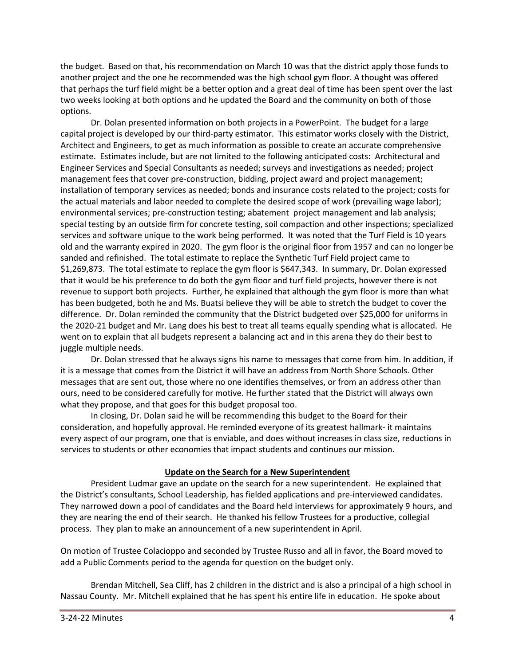the budget. Based on that, his recommendation on March 10 was that the district apply those funds to another project and the one he recommended was the high school gym floor. A thought was offered that perhaps the turf field might be a better option and a great deal of time has been spent over the last two weeks looking at both options and he updated the Board and the community on both of those options.

Dr. Dolan presented information on both projects in a PowerPoint. The budget for a large capital project is developed by our third-party estimator. This estimator works closely with the District, Architect and Engineers, to get as much information as possible to create an accurate comprehensive estimate. Estimates include, but are not limited to the following anticipated costs: Architectural and Engineer Services and Special Consultants as needed; surveys and investigations as needed; project management fees that cover pre-construction, bidding, project award and project management; installation of temporary services as needed; bonds and insurance costs related to the project; costs for the actual materials and labor needed to complete the desired scope of work (prevailing wage labor); environmental services; pre-construction testing; abatement project management and lab analysis; special testing by an outside firm for concrete testing, soil compaction and other inspections; specialized services and software unique to the work being performed. It was noted that the Turf Field is 10 years old and the warranty expired in 2020. The gym floor is the original floor from 1957 and can no longer be sanded and refinished. The total estimate to replace the Synthetic Turf Field project came to \$1,269,873. The total estimate to replace the gym floor is \$647,343. In summary, Dr. Dolan expressed that it would be his preference to do both the gym floor and turf field projects, however there is not revenue to support both projects. Further, he explained that although the gym floor is more than what has been budgeted, both he and Ms. Buatsi believe they will be able to stretch the budget to cover the difference. Dr. Dolan reminded the community that the District budgeted over \$25,000 for uniforms in the 2020-21 budget and Mr. Lang does his best to treat all teams equally spending what is allocated. He went on to explain that all budgets represent a balancing act and in this arena they do their best to juggle multiple needs.

Dr. Dolan stressed that he always signs his name to messages that come from him. In addition, if it is a message that comes from the District it will have an address from North Shore Schools. Other messages that are sent out, those where no one identifies themselves, or from an address other than ours, need to be considered carefully for motive. He further stated that the District will always own what they propose, and that goes for this budget proposal too.

In closing, Dr. Dolan said he will be recommending this budget to the Board for their consideration, and hopefully approval. He reminded everyone of its greatest hallmark- it maintains every aspect of our program, one that is enviable, and does without increases in class size, reductions in services to students or other economies that impact students and continues our mission.

#### **Update on the Search for a New Superintendent**

President Ludmar gave an update on the search for a new superintendent. He explained that the District's consultants, School Leadership, has fielded applications and pre-interviewed candidates. They narrowed down a pool of candidates and the Board held interviews for approximately 9 hours, and they are nearing the end of their search. He thanked his fellow Trustees for a productive, collegial process. They plan to make an announcement of a new superintendent in April.

On motion of Trustee Colacioppo and seconded by Trustee Russo and all in favor, the Board moved to add a Public Comments period to the agenda for question on the budget only.

Brendan Mitchell, Sea Cliff, has 2 children in the district and is also a principal of a high school in Nassau County. Mr. Mitchell explained that he has spent his entire life in education. He spoke about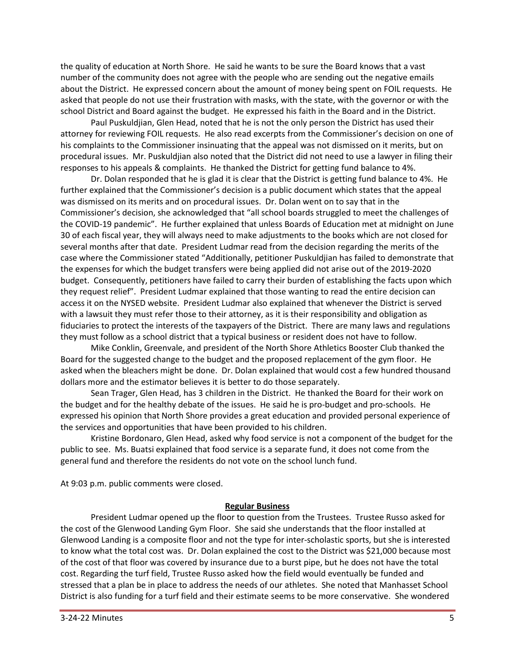the quality of education at North Shore. He said he wants to be sure the Board knows that a vast number of the community does not agree with the people who are sending out the negative emails about the District. He expressed concern about the amount of money being spent on FOIL requests. He asked that people do not use their frustration with masks, with the state, with the governor or with the school District and Board against the budget. He expressed his faith in the Board and in the District.

Paul Puskuldjian, Glen Head, noted that he is not the only person the District has used their attorney for reviewing FOIL requests. He also read excerpts from the Commissioner's decision on one of his complaints to the Commissioner insinuating that the appeal was not dismissed on it merits, but on procedural issues. Mr. Puskuldjian also noted that the District did not need to use a lawyer in filing their responses to his appeals & complaints. He thanked the District for getting fund balance to 4%.

Dr. Dolan responded that he is glad it is clear that the District is getting fund balance to 4%. He further explained that the Commissioner's decision is a public document which states that the appeal was dismissed on its merits and on procedural issues. Dr. Dolan went on to say that in the Commissioner's decision, she acknowledged that "all school boards struggled to meet the challenges of the COVID-19 pandemic". He further explained that unless Boards of Education met at midnight on June 30 of each fiscal year, they will always need to make adjustments to the books which are not closed for several months after that date. President Ludmar read from the decision regarding the merits of the case where the Commissioner stated "Additionally, petitioner Puskuldjian has failed to demonstrate that the expenses for which the budget transfers were being applied did not arise out of the 2019-2020 budget. Consequently, petitioners have failed to carry their burden of establishing the facts upon which they request relief". President Ludmar explained that those wanting to read the entire decision can access it on the NYSED website. President Ludmar also explained that whenever the District is served with a lawsuit they must refer those to their attorney, as it is their responsibility and obligation as fiduciaries to protect the interests of the taxpayers of the District. There are many laws and regulations they must follow as a school district that a typical business or resident does not have to follow.

Mike Conklin, Greenvale, and president of the North Shore Athletics Booster Club thanked the Board for the suggested change to the budget and the proposed replacement of the gym floor. He asked when the bleachers might be done. Dr. Dolan explained that would cost a few hundred thousand dollars more and the estimator believes it is better to do those separately.

Sean Trager, Glen Head, has 3 children in the District. He thanked the Board for their work on the budget and for the healthy debate of the issues. He said he is pro-budget and pro-schools. He expressed his opinion that North Shore provides a great education and provided personal experience of the services and opportunities that have been provided to his children.

Kristine Bordonaro, Glen Head, asked why food service is not a component of the budget for the public to see. Ms. Buatsi explained that food service is a separate fund, it does not come from the general fund and therefore the residents do not vote on the school lunch fund.

At 9:03 p.m. public comments were closed.

#### **Regular Business**

President Ludmar opened up the floor to question from the Trustees. Trustee Russo asked for the cost of the Glenwood Landing Gym Floor. She said she understands that the floor installed at Glenwood Landing is a composite floor and not the type for inter-scholastic sports, but she is interested to know what the total cost was. Dr. Dolan explained the cost to the District was \$21,000 because most of the cost of that floor was covered by insurance due to a burst pipe, but he does not have the total cost. Regarding the turf field, Trustee Russo asked how the field would eventually be funded and stressed that a plan be in place to address the needs of our athletes. She noted that Manhasset School District is also funding for a turf field and their estimate seems to be more conservative. She wondered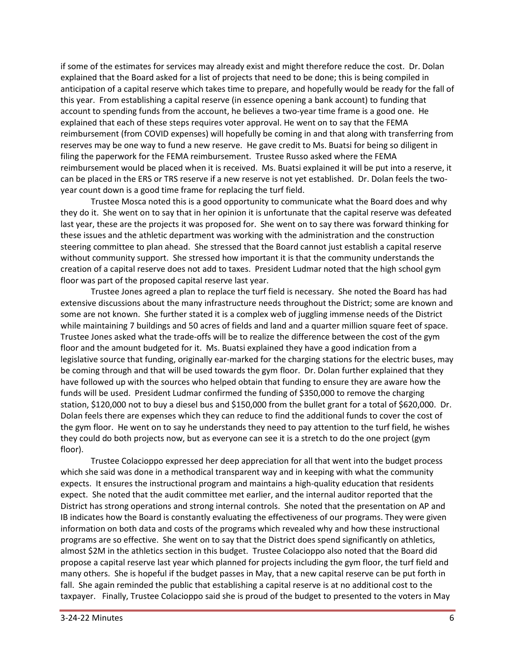if some of the estimates for services may already exist and might therefore reduce the cost. Dr. Dolan explained that the Board asked for a list of projects that need to be done; this is being compiled in anticipation of a capital reserve which takes time to prepare, and hopefully would be ready for the fall of this year. From establishing a capital reserve (in essence opening a bank account) to funding that account to spending funds from the account, he believes a two-year time frame is a good one. He explained that each of these steps requires voter approval. He went on to say that the FEMA reimbursement (from COVID expenses) will hopefully be coming in and that along with transferring from reserves may be one way to fund a new reserve. He gave credit to Ms. Buatsi for being so diligent in filing the paperwork for the FEMA reimbursement. Trustee Russo asked where the FEMA reimbursement would be placed when it is received. Ms. Buatsi explained it will be put into a reserve, it can be placed in the ERS or TRS reserve if a new reserve is not yet established. Dr. Dolan feels the twoyear count down is a good time frame for replacing the turf field.

Trustee Mosca noted this is a good opportunity to communicate what the Board does and why they do it. She went on to say that in her opinion it is unfortunate that the capital reserve was defeated last year, these are the projects it was proposed for. She went on to say there was forward thinking for these issues and the athletic department was working with the administration and the construction steering committee to plan ahead. She stressed that the Board cannot just establish a capital reserve without community support. She stressed how important it is that the community understands the creation of a capital reserve does not add to taxes. President Ludmar noted that the high school gym floor was part of the proposed capital reserve last year.

Trustee Jones agreed a plan to replace the turf field is necessary. She noted the Board has had extensive discussions about the many infrastructure needs throughout the District; some are known and some are not known. She further stated it is a complex web of juggling immense needs of the District while maintaining 7 buildings and 50 acres of fields and land and a quarter million square feet of space. Trustee Jones asked what the trade-offs will be to realize the difference between the cost of the gym floor and the amount budgeted for it. Ms. Buatsi explained they have a good indication from a legislative source that funding, originally ear-marked for the charging stations for the electric buses, may be coming through and that will be used towards the gym floor. Dr. Dolan further explained that they have followed up with the sources who helped obtain that funding to ensure they are aware how the funds will be used. President Ludmar confirmed the funding of \$350,000 to remove the charging station, \$120,000 not to buy a diesel bus and \$150,000 from the bullet grant for a total of \$620,000. Dr. Dolan feels there are expenses which they can reduce to find the additional funds to cover the cost of the gym floor. He went on to say he understands they need to pay attention to the turf field, he wishes they could do both projects now, but as everyone can see it is a stretch to do the one project (gym floor).

Trustee Colacioppo expressed her deep appreciation for all that went into the budget process which she said was done in a methodical transparent way and in keeping with what the community expects. It ensures the instructional program and maintains a high-quality education that residents expect. She noted that the audit committee met earlier, and the internal auditor reported that the District has strong operations and strong internal controls. She noted that the presentation on AP and IB indicates how the Board is constantly evaluating the effectiveness of our programs. They were given information on both data and costs of the programs which revealed why and how these instructional programs are so effective. She went on to say that the District does spend significantly on athletics, almost \$2M in the athletics section in this budget. Trustee Colacioppo also noted that the Board did propose a capital reserve last year which planned for projects including the gym floor, the turf field and many others. She is hopeful if the budget passes in May, that a new capital reserve can be put forth in fall. She again reminded the public that establishing a capital reserve is at no additional cost to the taxpayer. Finally, Trustee Colacioppo said she is proud of the budget to presented to the voters in May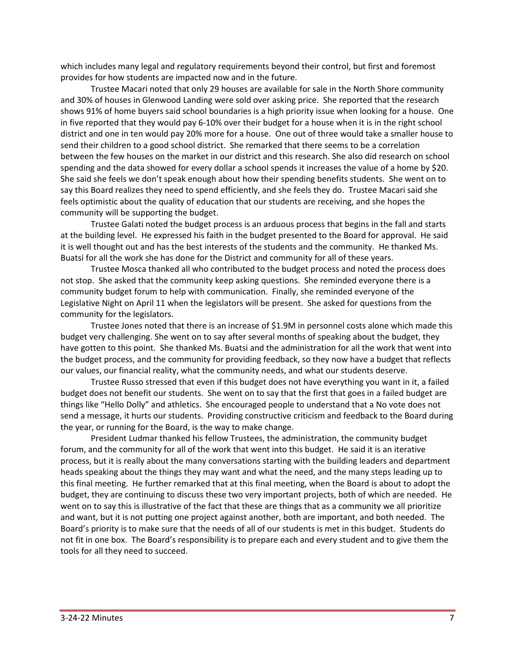which includes many legal and regulatory requirements beyond their control, but first and foremost provides for how students are impacted now and in the future.

Trustee Macari noted that only 29 houses are available for sale in the North Shore community and 30% of houses in Glenwood Landing were sold over asking price. She reported that the research shows 91% of home buyers said school boundaries is a high priority issue when looking for a house. One in five reported that they would pay 6-10% over their budget for a house when it is in the right school district and one in ten would pay 20% more for a house. One out of three would take a smaller house to send their children to a good school district. She remarked that there seems to be a correlation between the few houses on the market in our district and this research. She also did research on school spending and the data showed for every dollar a school spends it increases the value of a home by \$20. She said she feels we don't speak enough about how their spending benefits students. She went on to say this Board realizes they need to spend efficiently, and she feels they do. Trustee Macari said she feels optimistic about the quality of education that our students are receiving, and she hopes the community will be supporting the budget.

Trustee Galati noted the budget process is an arduous process that begins in the fall and starts at the building level. He expressed his faith in the budget presented to the Board for approval. He said it is well thought out and has the best interests of the students and the community. He thanked Ms. Buatsi for all the work she has done for the District and community for all of these years.

Trustee Mosca thanked all who contributed to the budget process and noted the process does not stop. She asked that the community keep asking questions. She reminded everyone there is a community budget forum to help with communication. Finally, she reminded everyone of the Legislative Night on April 11 when the legislators will be present. She asked for questions from the community for the legislators.

Trustee Jones noted that there is an increase of \$1.9M in personnel costs alone which made this budget very challenging. She went on to say after several months of speaking about the budget, they have gotten to this point. She thanked Ms. Buatsi and the administration for all the work that went into the budget process, and the community for providing feedback, so they now have a budget that reflects our values, our financial reality, what the community needs, and what our students deserve.

Trustee Russo stressed that even if this budget does not have everything you want in it, a failed budget does not benefit our students. She went on to say that the first that goes in a failed budget are things like "Hello Dolly" and athletics. She encouraged people to understand that a No vote does not send a message, it hurts our students. Providing constructive criticism and feedback to the Board during the year, or running for the Board, is the way to make change.

President Ludmar thanked his fellow Trustees, the administration, the community budget forum, and the community for all of the work that went into this budget. He said it is an iterative process, but it is really about the many conversations starting with the building leaders and department heads speaking about the things they may want and what the need, and the many steps leading up to this final meeting. He further remarked that at this final meeting, when the Board is about to adopt the budget, they are continuing to discuss these two very important projects, both of which are needed. He went on to say this is illustrative of the fact that these are things that as a community we all prioritize and want, but it is not putting one project against another, both are important, and both needed. The Board's priority is to make sure that the needs of all of our students is met in this budget. Students do not fit in one box. The Board's responsibility is to prepare each and every student and to give them the tools for all they need to succeed.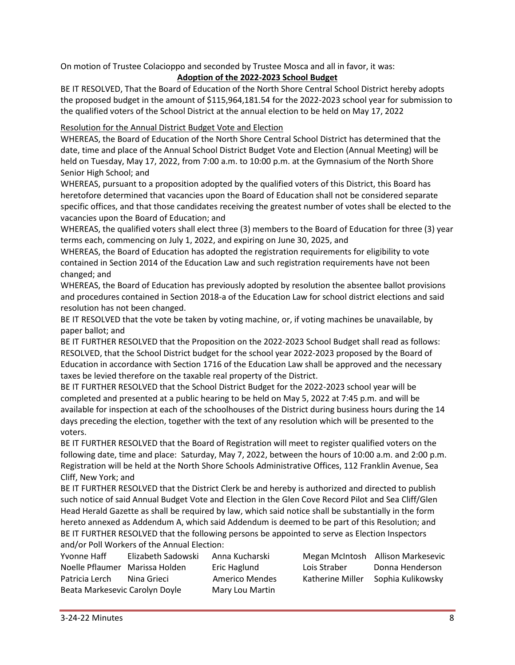On motion of Trustee Colacioppo and seconded by Trustee Mosca and all in favor, it was:

# **Adoption of the 2022-2023 School Budget**

BE IT RESOLVED, That the Board of Education of the North Shore Central School District hereby adopts the proposed budget in the amount of \$115,964,181.54 for the 2022-2023 school year for submission to the qualified voters of the School District at the annual election to be held on May 17, 2022

# Resolution for the Annual District Budget Vote and Election

WHEREAS, the Board of Education of the North Shore Central School District has determined that the date, time and place of the Annual School District Budget Vote and Election (Annual Meeting) will be held on Tuesday, May 17, 2022, from 7:00 a.m. to 10:00 p.m. at the Gymnasium of the North Shore Senior High School; and

WHEREAS, pursuant to a proposition adopted by the qualified voters of this District, this Board has heretofore determined that vacancies upon the Board of Education shall not be considered separate specific offices, and that those candidates receiving the greatest number of votes shall be elected to the vacancies upon the Board of Education; and

WHEREAS, the qualified voters shall elect three (3) members to the Board of Education for three (3) year terms each, commencing on July 1, 2022, and expiring on June 30, 2025, and

WHEREAS, the Board of Education has adopted the registration requirements for eligibility to vote contained in Section 2014 of the Education Law and such registration requirements have not been changed; and

WHEREAS, the Board of Education has previously adopted by resolution the absentee ballot provisions and procedures contained in Section 2018-a of the Education Law for school district elections and said resolution has not been changed.

BE IT RESOLVED that the vote be taken by voting machine, or, if voting machines be unavailable, by paper ballot; and

BE IT FURTHER RESOLVED that the Proposition on the 2022-2023 School Budget shall read as follows: RESOLVED, that the School District budget for the school year 2022-2023 proposed by the Board of Education in accordance with Section 1716 of the Education Law shall be approved and the necessary taxes be levied therefore on the taxable real property of the District.

BE IT FURTHER RESOLVED that the School District Budget for the 2022-2023 school year will be completed and presented at a public hearing to be held on May 5, 2022 at 7:45 p.m. and will be available for inspection at each of the schoolhouses of the District during business hours during the 14 days preceding the election, together with the text of any resolution which will be presented to the voters.

BE IT FURTHER RESOLVED that the Board of Registration will meet to register qualified voters on the following date, time and place: Saturday, May 7, 2022, between the hours of 10:00 a.m. and 2:00 p.m. Registration will be held at the North Shore Schools Administrative Offices, 112 Franklin Avenue, Sea Cliff, New York; and

BE IT FURTHER RESOLVED that the District Clerk be and hereby is authorized and directed to publish such notice of said Annual Budget Vote and Election in the Glen Cove Record Pilot and Sea Cliff/Glen Head Herald Gazette as shall be required by law, which said notice shall be substantially in the form hereto annexed as Addendum A, which said Addendum is deemed to be part of this Resolution; and BE IT FURTHER RESOLVED that the following persons be appointed to serve as Election Inspectors and/or Poll Workers of the Annual Election:

| Yvonne Haff                    | Elizabeth Sadowski |
|--------------------------------|--------------------|
| Noelle Pflaumer Marissa Holden |                    |
| Patricia Lerch                 | Nina Grieci        |
| Beata Markesevic Carolyn Doyle |                    |

Mary Lou Martin

Anna Kucharski Megan McIntosh Allison Markesevic Eric Haglund Lois Straber Donna Henderson Americo Mendes Katherine Miller Sophia Kulikowsky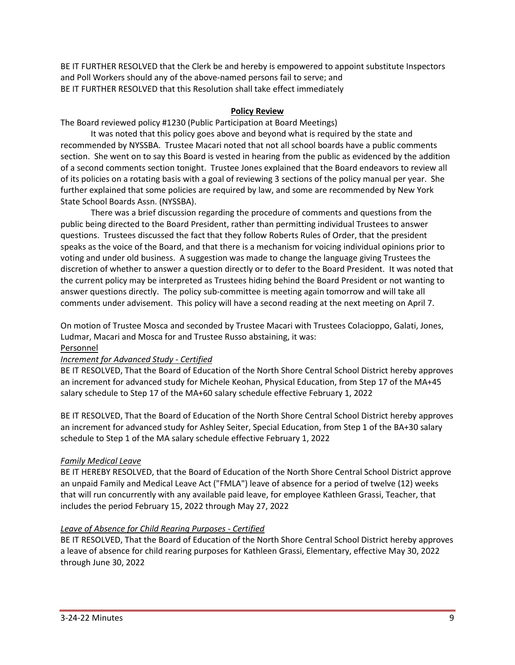BE IT FURTHER RESOLVED that the Clerk be and hereby is empowered to appoint substitute Inspectors and Poll Workers should any of the above-named persons fail to serve; and BE IT FURTHER RESOLVED that this Resolution shall take effect immediately

### **Policy Review**

The Board reviewed policy #1230 (Public Participation at Board Meetings)

It was noted that this policy goes above and beyond what is required by the state and recommended by NYSSBA. Trustee Macari noted that not all school boards have a public comments section. She went on to say this Board is vested in hearing from the public as evidenced by the addition of a second comments section tonight. Trustee Jones explained that the Board endeavors to review all of its policies on a rotating basis with a goal of reviewing 3 sections of the policy manual per year. She further explained that some policies are required by law, and some are recommended by New York State School Boards Assn. (NYSSBA).

There was a brief discussion regarding the procedure of comments and questions from the public being directed to the Board President, rather than permitting individual Trustees to answer questions. Trustees discussed the fact that they follow Roberts Rules of Order, that the president speaks as the voice of the Board, and that there is a mechanism for voicing individual opinions prior to voting and under old business. A suggestion was made to change the language giving Trustees the discretion of whether to answer a question directly or to defer to the Board President. It was noted that the current policy may be interpreted as Trustees hiding behind the Board President or not wanting to answer questions directly. The policy sub-committee is meeting again tomorrow and will take all comments under advisement. This policy will have a second reading at the next meeting on April 7.

On motion of Trustee Mosca and seconded by Trustee Macari with Trustees Colacioppo, Galati, Jones, Ludmar, Macari and Mosca for and Trustee Russo abstaining, it was:

#### Personnel

#### *Increment for Advanced Study - Certified*

BE IT RESOLVED, That the Board of Education of the North Shore Central School District hereby approves an increment for advanced study for Michele Keohan, Physical Education, from Step 17 of the MA+45 salary schedule to Step 17 of the MA+60 salary schedule effective February 1, 2022

BE IT RESOLVED, That the Board of Education of the North Shore Central School District hereby approves an increment for advanced study for Ashley Seiter, Special Education, from Step 1 of the BA+30 salary schedule to Step 1 of the MA salary schedule effective February 1, 2022

#### *Family Medical Leave*

BE IT HEREBY RESOLVED, that the Board of Education of the North Shore Central School District approve an unpaid Family and Medical Leave Act ("FMLA") leave of absence for a period of twelve (12) weeks that will run concurrently with any available paid leave, for employee Kathleen Grassi, Teacher, that includes the period February 15, 2022 through May 27, 2022

#### *Leave of Absence for Child Rearing Purposes - Certified*

BE IT RESOLVED, That the Board of Education of the North Shore Central School District hereby approves a leave of absence for child rearing purposes for Kathleen Grassi, Elementary, effective May 30, 2022 through June 30, 2022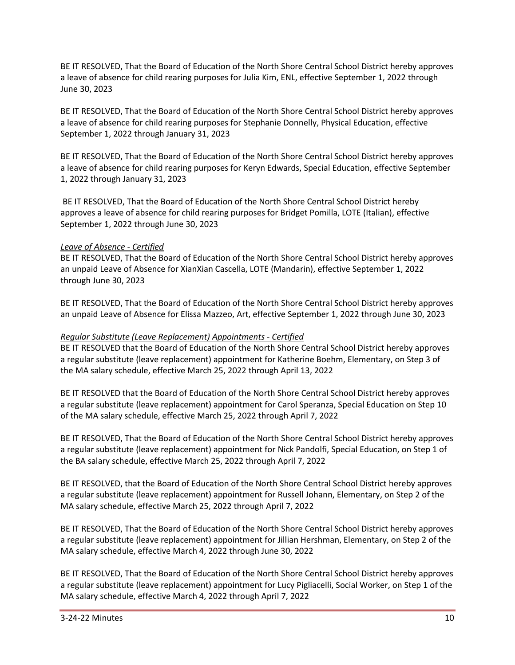BE IT RESOLVED, That the Board of Education of the North Shore Central School District hereby approves a leave of absence for child rearing purposes for Julia Kim, ENL, effective September 1, 2022 through June 30, 2023

BE IT RESOLVED, That the Board of Education of the North Shore Central School District hereby approves a leave of absence for child rearing purposes for Stephanie Donnelly, Physical Education, effective September 1, 2022 through January 31, 2023

BE IT RESOLVED, That the Board of Education of the North Shore Central School District hereby approves a leave of absence for child rearing purposes for Keryn Edwards, Special Education, effective September 1, 2022 through January 31, 2023

BE IT RESOLVED, That the Board of Education of the North Shore Central School District hereby approves a leave of absence for child rearing purposes for Bridget Pomilla, LOTE (Italian), effective September 1, 2022 through June 30, 2023

# *Leave of Absence - Certified*

BE IT RESOLVED, That the Board of Education of the North Shore Central School District hereby approves an unpaid Leave of Absence for XianXian Cascella, LOTE (Mandarin), effective September 1, 2022 through June 30, 2023

BE IT RESOLVED, That the Board of Education of the North Shore Central School District hereby approves an unpaid Leave of Absence for Elissa Mazzeo, Art, effective September 1, 2022 through June 30, 2023

### *Regular Substitute (Leave Replacement) Appointments - Certified*

BE IT RESOLVED that the Board of Education of the North Shore Central School District hereby approves a regular substitute (leave replacement) appointment for Katherine Boehm, Elementary, on Step 3 of the MA salary schedule, effective March 25, 2022 through April 13, 2022

BE IT RESOLVED that the Board of Education of the North Shore Central School District hereby approves a regular substitute (leave replacement) appointment for Carol Speranza, Special Education on Step 10 of the MA salary schedule, effective March 25, 2022 through April 7, 2022

BE IT RESOLVED, That the Board of Education of the North Shore Central School District hereby approves a regular substitute (leave replacement) appointment for Nick Pandolfi, Special Education, on Step 1 of the BA salary schedule, effective March 25, 2022 through April 7, 2022

BE IT RESOLVED, that the Board of Education of the North Shore Central School District hereby approves a regular substitute (leave replacement) appointment for Russell Johann, Elementary, on Step 2 of the MA salary schedule, effective March 25, 2022 through April 7, 2022

BE IT RESOLVED, That the Board of Education of the North Shore Central School District hereby approves a regular substitute (leave replacement) appointment for Jillian Hershman, Elementary, on Step 2 of the MA salary schedule, effective March 4, 2022 through June 30, 2022

BE IT RESOLVED, That the Board of Education of the North Shore Central School District hereby approves a regular substitute (leave replacement) appointment for Lucy Pigliacelli, Social Worker, on Step 1 of the MA salary schedule, effective March 4, 2022 through April 7, 2022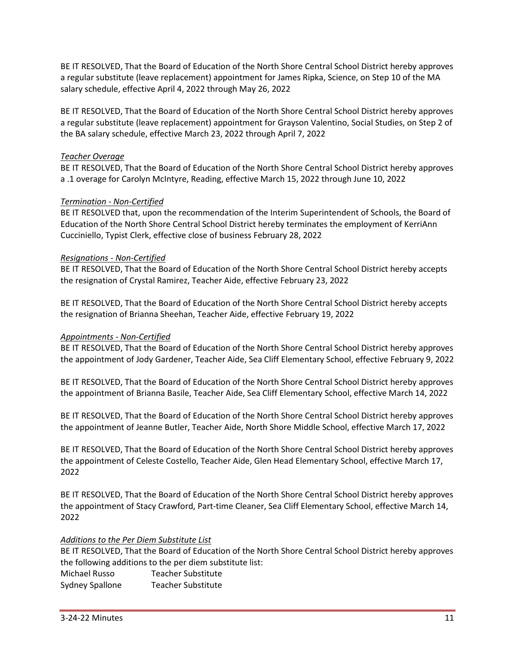BE IT RESOLVED, That the Board of Education of the North Shore Central School District hereby approves a regular substitute (leave replacement) appointment for James Ripka, Science, on Step 10 of the MA salary schedule, effective April 4, 2022 through May 26, 2022

BE IT RESOLVED, That the Board of Education of the North Shore Central School District hereby approves a regular substitute (leave replacement) appointment for Grayson Valentino, Social Studies, on Step 2 of the BA salary schedule, effective March 23, 2022 through April 7, 2022

### *Teacher Overage*

BE IT RESOLVED, That the Board of Education of the North Shore Central School District hereby approves a .1 overage for Carolyn McIntyre, Reading, effective March 15, 2022 through June 10, 2022

### *Termination - Non-Certified*

BE IT RESOLVED that, upon the recommendation of the Interim Superintendent of Schools, the Board of Education of the North Shore Central School District hereby terminates the employment of KerriAnn Cucciniello, Typist Clerk, effective close of business February 28, 2022

### *Resignations - Non-Certified*

BE IT RESOLVED, That the Board of Education of the North Shore Central School District hereby accepts the resignation of Crystal Ramirez, Teacher Aide, effective February 23, 2022

BE IT RESOLVED, That the Board of Education of the North Shore Central School District hereby accepts the resignation of Brianna Sheehan, Teacher Aide, effective February 19, 2022

#### *Appointments - Non-Certified*

BE IT RESOLVED, That the Board of Education of the North Shore Central School District hereby approves the appointment of Jody Gardener, Teacher Aide, Sea Cliff Elementary School, effective February 9, 2022

BE IT RESOLVED, That the Board of Education of the North Shore Central School District hereby approves the appointment of Brianna Basile, Teacher Aide, Sea Cliff Elementary School, effective March 14, 2022

BE IT RESOLVED, That the Board of Education of the North Shore Central School District hereby approves the appointment of Jeanne Butler, Teacher Aide, North Shore Middle School, effective March 17, 2022

BE IT RESOLVED, That the Board of Education of the North Shore Central School District hereby approves the appointment of Celeste Costello, Teacher Aide, Glen Head Elementary School, effective March 17, 2022

BE IT RESOLVED, That the Board of Education of the North Shore Central School District hereby approves the appointment of Stacy Crawford, Part-time Cleaner, Sea Cliff Elementary School, effective March 14, 2022

### *Additions to the Per Diem Substitute List*

BE IT RESOLVED, That the Board of Education of the North Shore Central School District hereby approves the following additions to the per diem substitute list:

Michael Russo Teacher Substitute Sydney Spallone Teacher Substitute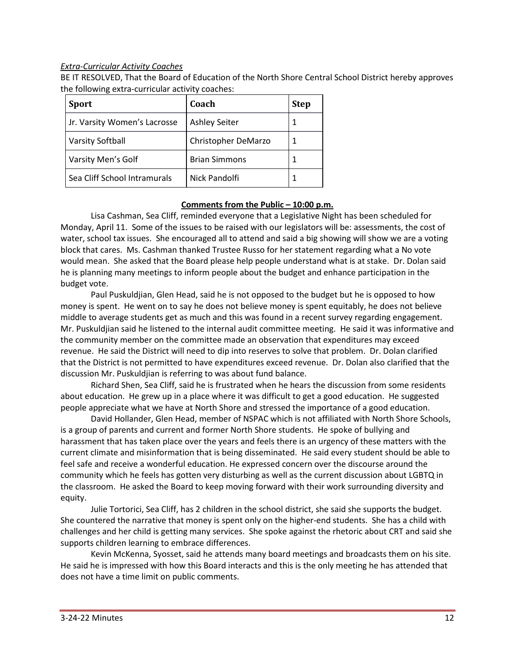#### *Extra-Curricular Activity Coaches*

BE IT RESOLVED, That the Board of Education of the North Shore Central School District hereby approves the following extra-curricular activity coaches:

| <b>Sport</b>                 | Coach                | <b>Step</b> |
|------------------------------|----------------------|-------------|
| Jr. Varsity Women's Lacrosse | <b>Ashley Seiter</b> |             |
| <b>Varsity Softball</b>      | Christopher DeMarzo  |             |
| Varsity Men's Golf           | <b>Brian Simmons</b> |             |
| Sea Cliff School Intramurals | Nick Pandolfi        |             |

### **Comments from the Public – 10:00 p.m.**

Lisa Cashman, Sea Cliff, reminded everyone that a Legislative Night has been scheduled for Monday, April 11. Some of the issues to be raised with our legislators will be: assessments, the cost of water, school tax issues. She encouraged all to attend and said a big showing will show we are a voting block that cares. Ms. Cashman thanked Trustee Russo for her statement regarding what a No vote would mean. She asked that the Board please help people understand what is at stake. Dr. Dolan said he is planning many meetings to inform people about the budget and enhance participation in the budget vote.

Paul Puskuldjian, Glen Head, said he is not opposed to the budget but he is opposed to how money is spent. He went on to say he does not believe money is spent equitably, he does not believe middle to average students get as much and this was found in a recent survey regarding engagement. Mr. Puskuldjian said he listened to the internal audit committee meeting. He said it was informative and the community member on the committee made an observation that expenditures may exceed revenue. He said the District will need to dip into reserves to solve that problem. Dr. Dolan clarified that the District is not permitted to have expenditures exceed revenue. Dr. Dolan also clarified that the discussion Mr. Puskuldjian is referring to was about fund balance.

Richard Shen, Sea Cliff, said he is frustrated when he hears the discussion from some residents about education. He grew up in a place where it was difficult to get a good education. He suggested people appreciate what we have at North Shore and stressed the importance of a good education.

David Hollander, Glen Head, member of NSPAC which is not affiliated with North Shore Schools, is a group of parents and current and former North Shore students. He spoke of bullying and harassment that has taken place over the years and feels there is an urgency of these matters with the current climate and misinformation that is being disseminated. He said every student should be able to feel safe and receive a wonderful education. He expressed concern over the discourse around the community which he feels has gotten very disturbing as well as the current discussion about LGBTQ in the classroom. He asked the Board to keep moving forward with their work surrounding diversity and equity.

Julie Tortorici, Sea Cliff, has 2 children in the school district, she said she supports the budget. She countered the narrative that money is spent only on the higher-end students. She has a child with challenges and her child is getting many services. She spoke against the rhetoric about CRT and said she supports children learning to embrace differences.

Kevin McKenna, Syosset, said he attends many board meetings and broadcasts them on his site. He said he is impressed with how this Board interacts and this is the only meeting he has attended that does not have a time limit on public comments.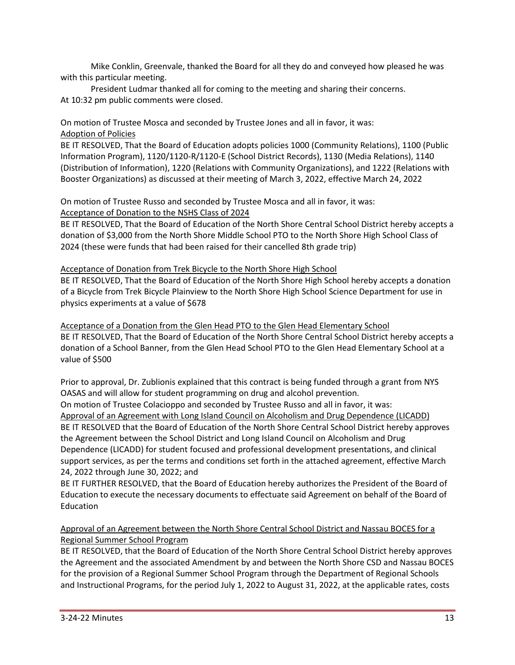Mike Conklin, Greenvale, thanked the Board for all they do and conveyed how pleased he was with this particular meeting.

President Ludmar thanked all for coming to the meeting and sharing their concerns. At 10:32 pm public comments were closed.

# On motion of Trustee Mosca and seconded by Trustee Jones and all in favor, it was: Adoption of Policies

BE IT RESOLVED, That the Board of Education adopts policies 1000 (Community Relations), 1100 (Public Information Program), 1120/1120-R/1120-E (School District Records), 1130 (Media Relations), 1140 (Distribution of Information), 1220 (Relations with Community Organizations), and 1222 (Relations with Booster Organizations) as discussed at their meeting of March 3, 2022, effective March 24, 2022

On motion of Trustee Russo and seconded by Trustee Mosca and all in favor, it was: Acceptance of Donation to the NSHS Class of 2024

BE IT RESOLVED, That the Board of Education of the North Shore Central School District hereby accepts a donation of \$3,000 from the North Shore Middle School PTO to the North Shore High School Class of 2024 (these were funds that had been raised for their cancelled 8th grade trip)

# Acceptance of Donation from Trek Bicycle to the North Shore High School

BE IT RESOLVED, That the Board of Education of the North Shore High School hereby accepts a donation of a Bicycle from Trek Bicycle Plainview to the North Shore High School Science Department for use in physics experiments at a value of \$678

Acceptance of a Donation from the Glen Head PTO to the Glen Head Elementary School BE IT RESOLVED, That the Board of Education of the North Shore Central School District hereby accepts a donation of a School Banner, from the Glen Head School PTO to the Glen Head Elementary School at a value of \$500

Prior to approval, Dr. Zublionis explained that this contract is being funded through a grant from NYS OASAS and will allow for student programming on drug and alcohol prevention.

On motion of Trustee Colacioppo and seconded by Trustee Russo and all in favor, it was: Approval of an Agreement with Long Island Council on Alcoholism and Drug Dependence (LICADD) BE IT RESOLVED that the Board of Education of the North Shore Central School District hereby approves the Agreement between the School District and Long Island Council on Alcoholism and Drug Dependence (LICADD) for student focused and professional development presentations, and clinical support services, as per the terms and conditions set forth in the attached agreement, effective March 24, 2022 through June 30, 2022; and

BE IT FURTHER RESOLVED, that the Board of Education hereby authorizes the President of the Board of Education to execute the necessary documents to effectuate said Agreement on behalf of the Board of Education

# Approval of an Agreement between the North Shore Central School District and Nassau BOCES for a Regional Summer School Program

BE IT RESOLVED, that the Board of Education of the North Shore Central School District hereby approves the Agreement and the associated Amendment by and between the North Shore CSD and Nassau BOCES for the provision of a Regional Summer School Program through the Department of Regional Schools and Instructional Programs, for the period July 1, 2022 to August 31, 2022, at the applicable rates, costs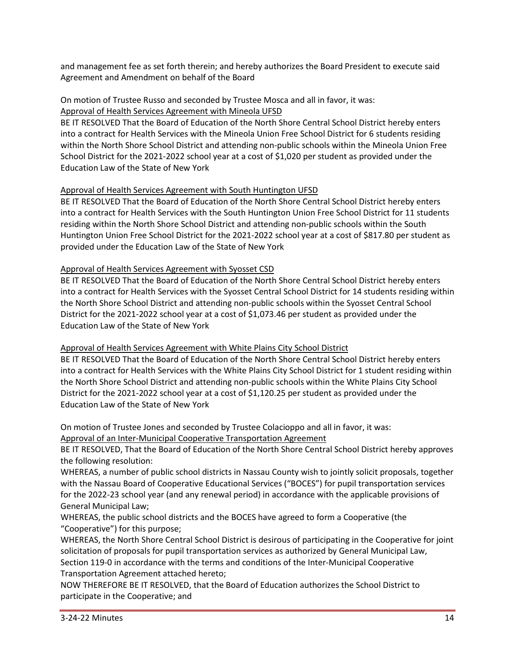and management fee as set forth therein; and hereby authorizes the Board President to execute said Agreement and Amendment on behalf of the Board

#### On motion of Trustee Russo and seconded by Trustee Mosca and all in favor, it was: Approval of Health Services Agreement with Mineola UFSD

BE IT RESOLVED That the Board of Education of the North Shore Central School District hereby enters into a contract for Health Services with the Mineola Union Free School District for 6 students residing within the North Shore School District and attending non-public schools within the Mineola Union Free School District for the 2021-2022 school year at a cost of \$1,020 per student as provided under the Education Law of the State of New York

# Approval of Health Services Agreement with South Huntington UFSD

BE IT RESOLVED That the Board of Education of the North Shore Central School District hereby enters into a contract for Health Services with the South Huntington Union Free School District for 11 students residing within the North Shore School District and attending non-public schools within the South Huntington Union Free School District for the 2021-2022 school year at a cost of \$817.80 per student as provided under the Education Law of the State of New York

# Approval of Health Services Agreement with Syosset CSD

BE IT RESOLVED That the Board of Education of the North Shore Central School District hereby enters into a contract for Health Services with the Syosset Central School District for 14 students residing within the North Shore School District and attending non-public schools within the Syosset Central School District for the 2021-2022 school year at a cost of \$1,073.46 per student as provided under the Education Law of the State of New York

# Approval of Health Services Agreement with White Plains City School District

BE IT RESOLVED That the Board of Education of the North Shore Central School District hereby enters into a contract for Health Services with the White Plains City School District for 1 student residing within the North Shore School District and attending non-public schools within the White Plains City School District for the 2021-2022 school year at a cost of \$1,120.25 per student as provided under the Education Law of the State of New York

On motion of Trustee Jones and seconded by Trustee Colacioppo and all in favor, it was: Approval of an Inter-Municipal Cooperative Transportation Agreement

BE IT RESOLVED, That the Board of Education of the North Shore Central School District hereby approves the following resolution:

WHEREAS, a number of public school districts in Nassau County wish to jointly solicit proposals, together with the Nassau Board of Cooperative Educational Services ("BOCES") for pupil transportation services for the 2022-23 school year (and any renewal period) in accordance with the applicable provisions of General Municipal Law;

WHEREAS, the public school districts and the BOCES have agreed to form a Cooperative (the "Cooperative") for this purpose;

WHEREAS, the North Shore Central School District is desirous of participating in the Cooperative for joint solicitation of proposals for pupil transportation services as authorized by General Municipal Law, Section 119-0 in accordance with the terms and conditions of the Inter-Municipal Cooperative Transportation Agreement attached hereto;

NOW THEREFORE BE IT RESOLVED, that the Board of Education authorizes the School District to participate in the Cooperative; and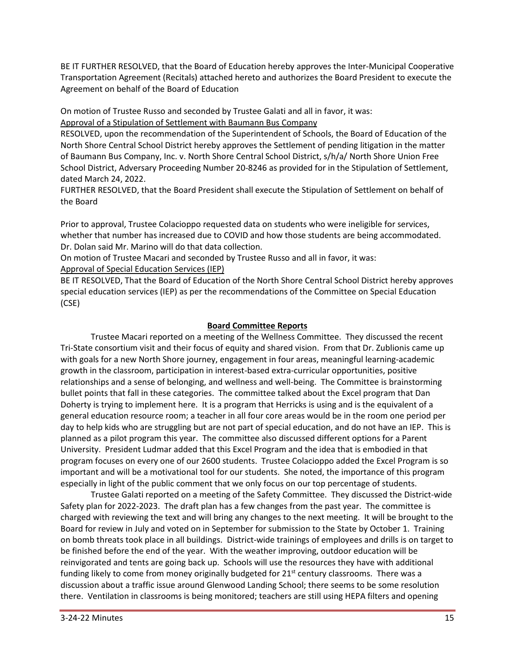BE IT FURTHER RESOLVED, that the Board of Education hereby approves the Inter-Municipal Cooperative Transportation Agreement (Recitals) attached hereto and authorizes the Board President to execute the Agreement on behalf of the Board of Education

On motion of Trustee Russo and seconded by Trustee Galati and all in favor, it was:

Approval of a Stipulation of Settlement with Baumann Bus Company

RESOLVED, upon the recommendation of the Superintendent of Schools, the Board of Education of the North Shore Central School District hereby approves the Settlement of pending litigation in the matter of Baumann Bus Company, Inc. v. North Shore Central School District, s/h/a/ North Shore Union Free School District, Adversary Proceeding Number 20-8246 as provided for in the Stipulation of Settlement, dated March 24, 2022.

FURTHER RESOLVED, that the Board President shall execute the Stipulation of Settlement on behalf of the Board

Prior to approval, Trustee Colacioppo requested data on students who were ineligible for services, whether that number has increased due to COVID and how those students are being accommodated. Dr. Dolan said Mr. Marino will do that data collection.

On motion of Trustee Macari and seconded by Trustee Russo and all in favor, it was: Approval of Special Education Services (IEP)

BE IT RESOLVED, That the Board of Education of the North Shore Central School District hereby approves special education services (IEP) as per the recommendations of the Committee on Special Education (CSE)

# **Board Committee Reports**

Trustee Macari reported on a meeting of the Wellness Committee. They discussed the recent Tri-State consortium visit and their focus of equity and shared vision. From that Dr. Zublionis came up with goals for a new North Shore journey, engagement in four areas, meaningful learning-academic growth in the classroom, participation in interest-based extra-curricular opportunities, positive relationships and a sense of belonging, and wellness and well-being. The Committee is brainstorming bullet points that fall in these categories. The committee talked about the Excel program that Dan Doherty is trying to implement here. It is a program that Herricks is using and is the equivalent of a general education resource room; a teacher in all four core areas would be in the room one period per day to help kids who are struggling but are not part of special education, and do not have an IEP. This is planned as a pilot program this year. The committee also discussed different options for a Parent University. President Ludmar added that this Excel Program and the idea that is embodied in that program focuses on every one of our 2600 students. Trustee Colacioppo added the Excel Program is so important and will be a motivational tool for our students. She noted, the importance of this program especially in light of the public comment that we only focus on our top percentage of students.

Trustee Galati reported on a meeting of the Safety Committee. They discussed the District-wide Safety plan for 2022-2023. The draft plan has a few changes from the past year. The committee is charged with reviewing the text and will bring any changes to the next meeting. It will be brought to the Board for review in July and voted on in September for submission to the State by October 1. Training on bomb threats took place in all buildings. District-wide trainings of employees and drills is on target to be finished before the end of the year. With the weather improving, outdoor education will be reinvigorated and tents are going back up. Schools will use the resources they have with additional funding likely to come from money originally budgeted for  $21^{st}$  century classrooms. There was a discussion about a traffic issue around Glenwood Landing School; there seems to be some resolution there. Ventilation in classrooms is being monitored; teachers are still using HEPA filters and opening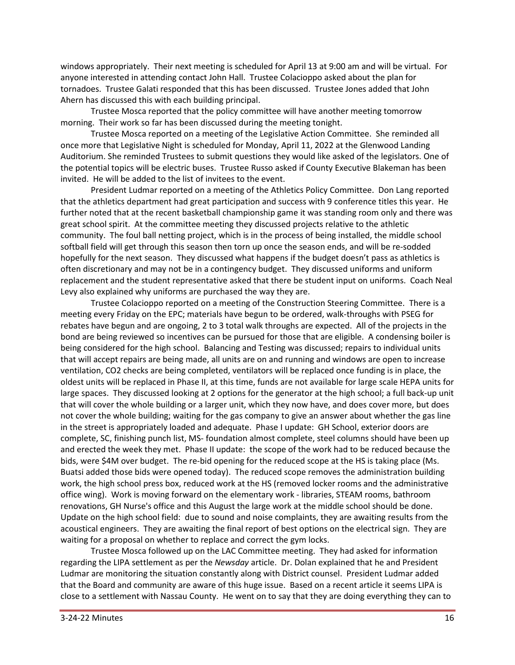windows appropriately. Their next meeting is scheduled for April 13 at 9:00 am and will be virtual. For anyone interested in attending contact John Hall. Trustee Colacioppo asked about the plan for tornadoes. Trustee Galati responded that this has been discussed. Trustee Jones added that John Ahern has discussed this with each building principal.

Trustee Mosca reported that the policy committee will have another meeting tomorrow morning. Their work so far has been discussed during the meeting tonight.

Trustee Mosca reported on a meeting of the Legislative Action Committee. She reminded all once more that Legislative Night is scheduled for Monday, April 11, 2022 at the Glenwood Landing Auditorium. She reminded Trustees to submit questions they would like asked of the legislators. One of the potential topics will be electric buses. Trustee Russo asked if County Executive Blakeman has been invited. He will be added to the list of invitees to the event.

President Ludmar reported on a meeting of the Athletics Policy Committee. Don Lang reported that the athletics department had great participation and success with 9 conference titles this year. He further noted that at the recent basketball championship game it was standing room only and there was great school spirit. At the committee meeting they discussed projects relative to the athletic community. The foul ball netting project, which is in the process of being installed, the middle school softball field will get through this season then torn up once the season ends, and will be re-sodded hopefully for the next season. They discussed what happens if the budget doesn't pass as athletics is often discretionary and may not be in a contingency budget. They discussed uniforms and uniform replacement and the student representative asked that there be student input on uniforms. Coach Neal Levy also explained why uniforms are purchased the way they are.

Trustee Colacioppo reported on a meeting of the Construction Steering Committee. There is a meeting every Friday on the EPC; materials have begun to be ordered, walk-throughs with PSEG for rebates have begun and are ongoing, 2 to 3 total walk throughs are expected. All of the projects in the bond are being reviewed so incentives can be pursued for those that are eligible. A condensing boiler is being considered for the high school. Balancing and Testing was discussed; repairs to individual units that will accept repairs are being made, all units are on and running and windows are open to increase ventilation, CO2 checks are being completed, ventilators will be replaced once funding is in place, the oldest units will be replaced in Phase II, at this time, funds are not available for large scale HEPA units for large spaces. They discussed looking at 2 options for the generator at the high school; a full back-up unit that will cover the whole building or a larger unit, which they now have, and does cover more, but does not cover the whole building; waiting for the gas company to give an answer about whether the gas line in the street is appropriately loaded and adequate. Phase I update: GH School, exterior doors are complete, SC, finishing punch list, MS- foundation almost complete, steel columns should have been up and erected the week they met. Phase II update: the scope of the work had to be reduced because the bids, were \$4M over budget. The re-bid opening for the reduced scope at the HS is taking place (Ms. Buatsi added those bids were opened today). The reduced scope removes the administration building work, the high school press box, reduced work at the HS (removed locker rooms and the administrative office wing). Work is moving forward on the elementary work - libraries, STEAM rooms, bathroom renovations, GH Nurse's office and this August the large work at the middle school should be done. Update on the high school field: due to sound and noise complaints, they are awaiting results from the acoustical engineers. They are awaiting the final report of best options on the electrical sign. They are waiting for a proposal on whether to replace and correct the gym locks.

Trustee Mosca followed up on the LAC Committee meeting. They had asked for information regarding the LIPA settlement as per the *Newsday* article. Dr. Dolan explained that he and President Ludmar are monitoring the situation constantly along with District counsel. President Ludmar added that the Board and community are aware of this huge issue. Based on a recent article it seems LIPA is close to a settlement with Nassau County. He went on to say that they are doing everything they can to